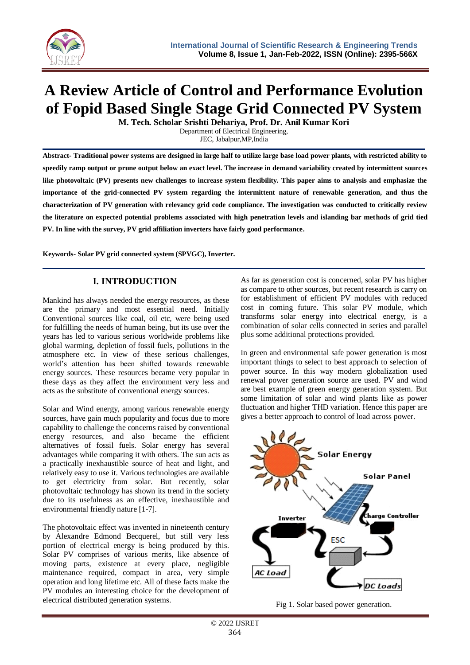

# **A Review Article of Control and Performance Evolution of Fopid Based Single Stage Grid Connected PV System**

**M. Tech. Scholar Srishti Dehariya, Prof. Dr. Anil Kumar Kori** Department of Electrical Engineering,

JEC, Jabalpur,MP,India

**Abstract- Traditional power systems are designed in large half to utilize large base load power plants, with restricted ability to speedily ramp output or prune output below an exact level. The increase in demand variability created by intermittent sources like photovoltaic (PV) presents new challenges to increase system flexibility. This paper aims to analysis and emphasize the importance of the grid-connected PV system regarding the intermittent nature of renewable generation, and thus the characterization of PV generation with relevancy grid code compliance. The investigation was conducted to critically review the literature on expected potential problems associated with high penetration levels and islanding bar methods of grid tied PV. In line with the survey, PV grid affiliation inverters have fairly good performance.**

**Keywords- Solar PV grid connected system (SPVGC), Inverter.**

## **I. INTRODUCTION**

Mankind has always needed the energy resources, as these are the primary and most essential need. Initially Conventional sources like coal, oil etc, were being used for fulfilling the needs of human being, but its use over the years has led to various serious worldwide problems like global warming, depletion of fossil fuels, pollutions in the atmosphere etc. In view of these serious challenges, world's attention has been shifted towards renewable energy sources. These resources became very popular in these days as they affect the environment very less and acts as the substitute of conventional energy sources.

Solar and Wind energy, among various renewable energy sources, have gain much popularity and focus due to more capability to challenge the concerns raised by conventional energy resources, and also became the efficient alternatives of fossil fuels. Solar energy has several advantages while comparing it with others. The sun acts as a practically inexhaustible source of heat and light, and relatively easy to use it. Various technologies are available to get electricity from solar. But recently, solar photovoltaic technology has shown its trend in the society due to its usefulness as an effective, inexhaustible and environmental friendly nature [1-7].

The photovoltaic effect was invented in nineteenth century by Alexandre Edmond Becquerel, but still very less portion of electrical energy is being produced by this. Solar PV comprises of various merits, like absence of moving parts, existence at every place, negligible maintenance required, compact in area, very simple operation and long lifetime etc. All of these facts make the PV modules an interesting choice for the development of electrical distributed generation systems.

As far as generation cost is concerned, solar PV has higher as compare to other sources, but recent research is carry on for establishment of efficient PV modules with reduced cost in coming future. This solar PV module, which transforms solar energy into electrical energy, is a combination of solar cells connected in series and parallel plus some additional protections provided.

In green and environmental safe power generation is most important things to select to best approach to selection of power source. In this way modern globalization used renewal power generation source are used. PV and wind are best example of green energy generation system. But some limitation of solar and wind plants like as power fluctuation and higher THD variation. Hence this paper are gives a better approach to control of load across power.



Fig 1. Solar based power generation.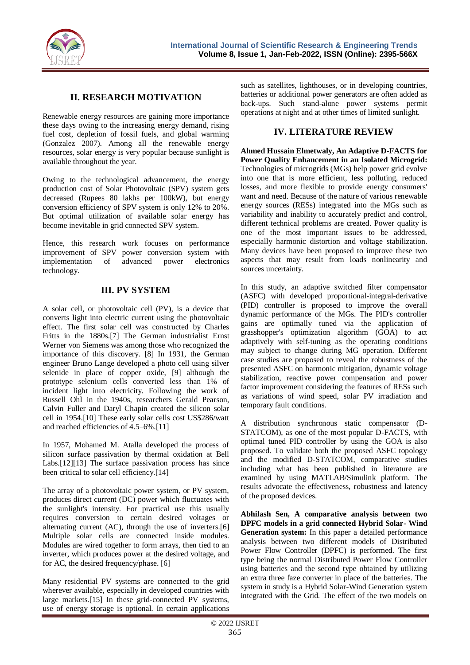

## **II. RESEARCH MOTIVATION**

Renewable energy resources are gaining more importance these days owing to the increasing energy demand, rising fuel cost, depletion of fossil fuels, and global warming (Gonzalez 2007). Among all the renewable energy resources, solar energy is very popular because sunlight is available throughout the year.

Owing to the technological advancement, the energy production cost of Solar Photovoltaic (SPV) system gets decreased (Rupees 80 lakhs per 100kW), but energy conversion efficiency of SPV system is only 12% to 20%. But optimal utilization of available solar energy has become inevitable in grid connected SPV system.

Hence, this research work focuses on performance improvement of SPV power conversion system with implementation of advanced power electronics technology.

#### **III. PV SYSTEM**

A solar cell, or photovoltaic cell (PV), is a device that converts light into electric current using the photovoltaic effect. The first solar cell was constructed by Charles Fritts in the 1880s.[7] The German industrialist Ernst Werner von Siemens was among those who recognized the importance of this discovery. [8] In 1931, the German engineer Bruno Lange developed a photo cell using silver selenide in place of copper oxide, [9] although the prototype selenium cells converted less than 1% of incident light into electricity. Following the work of Russell Ohl in the 1940s, researchers Gerald Pearson, Calvin Fuller and Daryl Chapin created the silicon solar cell in 1954.[10] These early solar cells cost US\$286/watt and reached efficiencies of 4.5–6%.[11]

In 1957, Mohamed M. Atalla developed the process of silicon surface passivation by thermal oxidation at Bell Labs.[12][13] The surface passivation process has since been critical to solar cell efficiency.<sup>[14]</sup>

The array of a photovoltaic power system, or PV system, produces direct current (DC) power which fluctuates with the sunlight's intensity. For practical use this usually requires conversion to certain desired voltages or alternating current (AC), through the use of inverters.[6] Multiple solar cells are connected inside modules. Modules are wired together to form arrays, then tied to an inverter, which produces power at the desired voltage, and for AC, the desired frequency/phase. [6]

Many residential PV systems are connected to the grid wherever available, especially in developed countries with large markets.[15] In these grid-connected PV systems, use of energy storage is optional. In certain applications

such as satellites, lighthouses, or in developing countries, batteries or additional power generators are often added as back-ups. Such stand-alone power systems permit operations at night and at other times of limited sunlight.

## **IV. LITERATURE REVIEW**

**Ahmed Hussain Elmetwaly, An Adaptive D-FACTS for Power Quality Enhancement in an Isolated Microgrid:** Technologies of microgrids (MGs) help power grid evolve into one that is more efficient, less polluting, reduced losses, and more flexible to provide energy consumers' want and need. Because of the nature of various renewable energy sources (RESs) integrated into the MGs such as variability and inability to accurately predict and control, different technical problems are created. Power quality is one of the most important issues to be addressed, especially harmonic distortion and voltage stabilization. Many devices have been proposed to improve these two aspects that may result from loads nonlinearity and sources uncertainty.

In this study, an adaptive switched filter compensator (ASFC) with developed proportional-integral-derivative (PID) controller is proposed to improve the overall dynamic performance of the MGs. The PID's controller gains are optimally tuned via the application of grasshopper's optimization algorithm (GOA) to act adaptively with self-tuning as the operating conditions may subject to change during MG operation. Different case studies are proposed to reveal the robustness of the presented ASFC on harmonic mitigation, dynamic voltage stabilization, reactive power compensation and power factor improvement considering the features of RESs such as variations of wind speed, solar PV irradiation and temporary fault conditions.

A distribution synchronous static compensator (D-STATCOM), as one of the most popular D-FACTS, with optimal tuned PID controller by using the GOA is also proposed. To validate both the proposed ASFC topology and the modified D-STATCOM, comparative studies including what has been published in literature are examined by using MATLAB/Simulink platform. The results advocate the effectiveness, robustness and latency of the proposed devices.

**Abhilash Sen, A comparative analysis between two DPFC models in a grid connected Hybrid Solar- Wind Generation system:** In this paper a detailed performance analysis between two different models of Distributed Power Flow Controller (DPFC) is performed. The first type being the normal Distributed Power Flow Controller using batteries and the second type obtained by utilizing an extra three faze converter in place of the batteries. The system in study is a Hybrid Solar-Wind Generation system integrated with the Grid. The effect of the two models on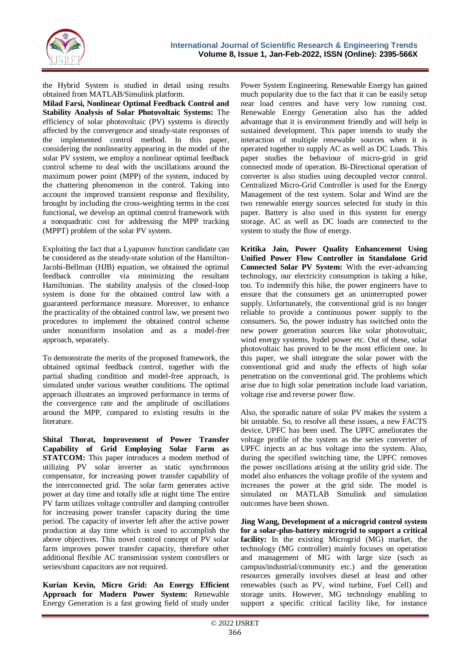

the Hybrid System is studied in detail using results obtained from MATLAB/Simulink platform.

**Milad Farsi, Nonlinear Optimal Feedback Control and Stability Analysis of Solar Photovoltaic Systems:** The efficiency of solar photovoltaic (PV) systems is directly affected by the convergence and steady-state responses of the implemented control method. In this paper, considering the nonlinearity appearing in the model of the solar PV system, we employ a nonlinear optimal feedback control scheme to deal with the oscillations around the maximum power point (MPP) of the system, induced by the chattering phenomenon in the control. Taking into account the improved transient response and flexibility, brought by including the cross-weighting terms in the cost functional, we develop an optimal control framework with a nonquadratic cost for addressing the MPP tracking (MPPT) problem of the solar PV system.

Exploiting the fact that a Lyapunov function candidate can be considered as the steady-state solution of the Hamilton-Jacobi-Bellman (HJB) equation, we obtained the optimal feedback controller via minimizing the resultant Hamiltonian. The stability analysis of the closed-loop system is done for the obtained control law with a guaranteed performance measure. Moreover, to enhance the practicality of the obtained control law, we present two procedures to implement the obtained control scheme under nonuniform insolation and as a model-free approach, separately.

To demonstrate the merits of the proposed framework, the obtained optimal feedback control, together with the partial shading condition and model-free approach, is simulated under various weather conditions. The optimal approach illustrates an improved performance in terms of the convergence rate and the amplitude of oscillations around the MPP, compared to existing results in the literature.

**Shital Thorat, Improvement of Power Transfer Capability of Grid Employing Solar Farm as STATCOM:** This paper introduces a modem method of utilizing PV solar inverter as static synchronous compensator, for increasing power transfer capability of the interconnected grid. The solar farm generates active power at day time and totally idle at night time The entire PV farm utilizes voltage controller and damping controller for increasing power transfer capacity during the time period. The capacity of inverter left after the active power production at day time which is used to accomplish the above objectives. This novel control concept of PV solar farm improves power transfer capacity, therefore other additional flexible AC transmission system controllers or series/shunt capacitors are not required.

**Kurian Kevin, Micro Grid: An Energy Efficient Approach for Modern Power System:** Renewable Energy Generation is a fast growing field of study under Power System Engineering. Renewable Energy has gained much popularity due to the fact that it can be easily setup near load centres and have very low running cost. Renewable Energy Generation also has the added advantage that it is environment friendly and will help in sustained development. This paper intends to study the interaction of multiple renewable sources when it is operated together to supply AC as well as DC Loads. This paper studies the behaviour of micro-grid in grid connected mode of operation. Bi-Directional operation of converter is also studies using decoupled vector control. Centralized Micro-Grid Controller is used for the Energy Management of the test system. Solar and Wind are the two renewable energy sources selected for study in this paper. Battery is also used in this system for energy storage. AC as well as DC loads are connected to the system to study the flow of energy.

**Kritika Jain, Power Quality Enhancement Using Unified Power Flow Controller in Standalone Grid Connected Solar PV System:** With the ever-advancing technology, our electricity consumption is taking a hike, too. To indemnify this hike, the power engineers have to ensure that the consumers get an uninterrupted power supply. Unfortunately, the conventional grid is no longer reliable to provide a continuous power supply to the consumers. So, the power industry has switched onto the new power generation sources like solar photovoltaic, wind energy systems, hydel power etc. Out of these, solar photovoltaic has proved to be the most efficient one. In this paper, we shall integrate the solar power with the conventional grid and study the effects of high solar penetration on the conventional grid. The problems which arise due to high solar penetration include load variation, voltage rise and reverse power flow.

Also, the sporadic nature of solar PV makes the system a bit unstable. So, to resolve all these issues, a new FACTS device, UPFC has been used. The UPFC ameliorates the voltage profile of the system as the series converter of UPFC injects an ac bus voltage into the system. Also, during the specified switching time, the UPFC removes the power oscillations arising at the utility grid side. The model also enhances the voltage profile of the system and increases the power at the grid side. The model is simulated on MATLAB Simulink and simulation outcomes have been shown.

**Jing Wang, Development of a microgrid control system for a solar-plus-battery microgrid to support a critical facility:** In the existing Microgrid (MG) market, the technology (MG controller) mainly focuses on operation and management of MG with large size (such as campus/industrial/community etc.) and the generation resources generally involves diesel at least and other renewables (such as PV, wind turbine, Fuel Cell) and storage units. However, MG technology enabling to support a specific critical facility like, for instance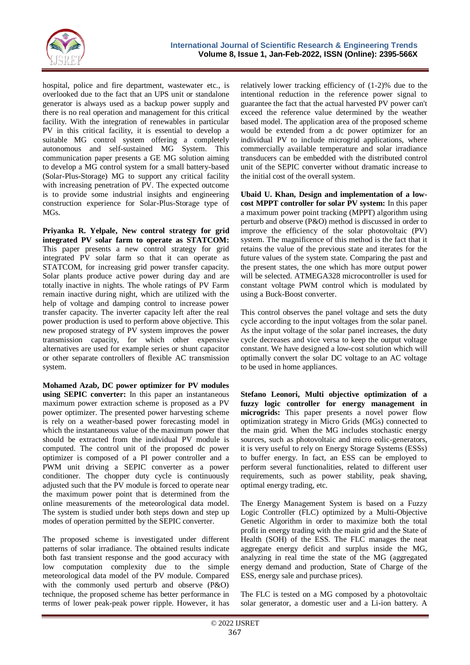

hospital, police and fire department, wastewater etc., is overlooked due to the fact that an UPS unit or standalone generator is always used as a backup power supply and there is no real operation and management for this critical facility. With the integration of renewables in particular PV in this critical facility, it is essential to develop a suitable MG control system offering a completely autonomous and self-sustained MG System. This communication paper presents a GE MG solution aiming to develop a MG control system for a small battery-based (Solar-Plus-Storage) MG to support any critical facility with increasing penetration of PV. The expected outcome is to provide some industrial insights and engineering construction experience for Solar-Plus-Storage type of MGs.

**Priyanka R. Yelpale, New control strategy for grid integrated PV solar farm to operate as STATCOM:** This paper presents a new control strategy for grid integrated PV solar farm so that it can operate as STATCOM, for increasing grid power transfer capacity. Solar plants produce active power during day and are totally inactive in nights. The whole ratings of PV Farm remain inactive during night, which are utilized with the help of voltage and damping control to increase power transfer capacity. The inverter capacity left after the real power production is used to perform above objective. This new proposed strategy of PV system improves the power transmission capacity, for which other expensive alternatives are used for example series or shunt capacitor or other separate controllers of flexible AC transmission system.

**Mohamed Azab, DC power optimizer for PV modules using SEPIC converter:** In this paper an instantaneous maximum power extraction scheme is proposed as a PV power optimizer. The presented power harvesting scheme is rely on a weather-based power forecasting model in which the instantaneous value of the maximum power that should be extracted from the individual PV module is computed. The control unit of the proposed dc power optimizer is composed of a PI power controller and a PWM unit driving a SEPIC converter as a power conditioner. The chopper duty cycle is continuously adjusted such that the PV module is forced to operate near the maximum power point that is determined from the online measurements of the meteorological data model. The system is studied under both steps down and step up modes of operation permitted by the SEPIC converter.

The proposed scheme is investigated under different patterns of solar irradiance. The obtained results indicate both fast transient response and the good accuracy with low computation complexity due to the simple meteorological data model of the PV module. Compared with the commonly used perturb and observe (P&O) technique, the proposed scheme has better performance in terms of lower peak-peak power ripple. However, it has

relatively lower tracking efficiency of (1-2)% due to the intentional reduction in the reference power signal to guarantee the fact that the actual harvested PV power can't exceed the reference value determined by the weather based model. The application area of the proposed scheme would be extended from a dc power optimizer for an individual PV to include microgrid applications, where commercially available temperature and solar irradiance transducers can be embedded with the distributed control unit of the SEPIC converter without dramatic increase to the initial cost of the overall system.

**Ubaid U. Khan, Design and implementation of a lowcost MPPT controller for solar PV system:** In this paper a maximum power point tracking (MPPT) algorithm using perturb and observe (P&O) method is discussed in order to improve the efficiency of the solar photovoltaic (PV) system. The magnificence of this method is the fact that it retains the value of the previous state and iterates for the future values of the system state. Comparing the past and the present states, the one which has more output power will be selected. ATMEGA328 microcontroller is used for constant voltage PWM control which is modulated by using a Buck-Boost converter.

This control observes the panel voltage and sets the duty cycle according to the input voltages from the solar panel. As the input voltage of the solar panel increases, the duty cycle decreases and vice versa to keep the output voltage constant. We have designed a low-cost solution which will optimally convert the solar DC voltage to an AC voltage to be used in home appliances.

**Stefano Leonori, Multi objective optimization of a fuzzy logic controller for energy management in microgrids:** This paper presents a novel power flow optimization strategy in Micro Grids (MGs) connected to the main grid. When the MG includes stochastic energy sources, such as photovoltaic and micro eolic-generators, it is very useful to rely on Energy Storage Systems (ESSs) to buffer energy. In fact, an ESS can be employed to perform several functionalities, related to different user requirements, such as power stability, peak shaving, optimal energy trading, etc.

The Energy Management System is based on a Fuzzy Logic Controller (FLC) optimized by a Multi-Objective Genetic Algorithm in order to maximize both the total profit in energy trading with the main grid and the State of Health (SOH) of the ESS. The FLC manages the neat aggregate energy deficit and surplus inside the MG, analyzing in real time the state of the MG (aggregated energy demand and production, State of Charge of the ESS, energy sale and purchase prices).

The FLC is tested on a MG composed by a photovoltaic solar generator, a domestic user and a Li-ion battery. A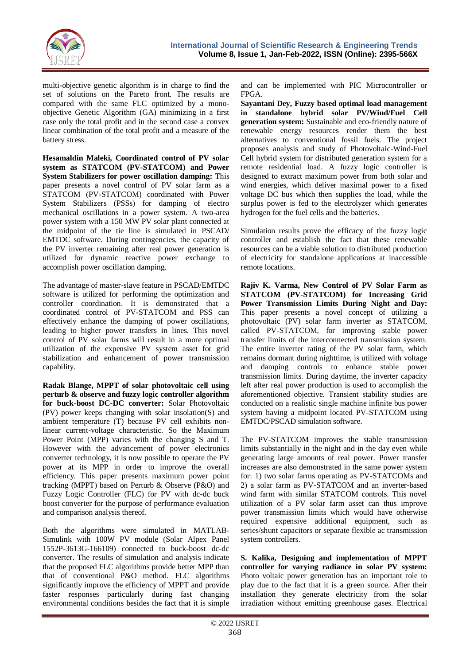

multi-objective genetic algorithm is in charge to find the set of solutions on the Pareto front. The results are compared with the same FLC optimized by a monoobjective Genetic Algorithm (GA) minimizing in a first case only the total profit and in the second case a convex linear combination of the total profit and a measure of the battery stress.

**Hesamaldin Maleki, Coordinated control of PV solar system as STATCOM (PV-STATCOM) and Power System Stabilizers for power oscillation damping:** This paper presents a novel control of PV solar farm as a STATCOM (PV-STATCOM) coordinated with Power System Stabilizers (PSSs) for damping of electro mechanical oscillations in a power system. A two-area power system with a 150 MW PV solar plant connected at the midpoint of the tie line is simulated in PSCAD/ EMTDC software. During contingencies, the capacity of the PV inverter remaining after real power generation is utilized for dynamic reactive power exchange to accomplish power oscillation damping.

The advantage of master-slave feature in PSCAD/EMTDC software is utilized for performing the optimization and controller coordination. It is demonstrated that a coordinated control of PV-STATCOM and PSS can effectively enhance the damping of power oscillations, leading to higher power transfers in lines. This novel control of PV solar farms will result in a more optimal utilization of the expensive PV system asset for grid stabilization and enhancement of power transmission capability.

**Radak Blange, MPPT of solar photovoltaic cell using perturb & observe and fuzzy logic controller algorithm for buck-boost DC-DC converter:** Solar Photovoltaic (PV) power keeps changing with solar insolation(S) and ambient temperature (T) because PV cell exhibits nonlinear current-voltage characteristic. So the Maximum Power Point (MPP) varies with the changing S and T. However with the advancement of power electronics converter technology, it is now possible to operate the PV power at its MPP in order to improve the overall efficiency. This paper presents maximum power point tracking (MPPT) based on Perturb & Observe (P&O) and Fuzzy Logic Controller (FLC) for PV with dc-dc buck boost converter for the purpose of performance evaluation and comparison analysis thereof.

Both the algorithms were simulated in MATLAB-Simulink with 100W PV module (Solar Alpex Panel 1552P-3613G-166109) connected to buck-boost dc-dc converter. The results of simulation and analysis indicate that the proposed FLC algorithms provide better MPP than that of conventional P&O method. FLC algorithms significantly improve the efficiency of MPPT and provide faster responses particularly during fast changing environmental conditions besides the fact that it is simple

and can be implemented with PIC Microcontroller or FPGA.

**Sayantani Dey, Fuzzy based optimal load management in standalone hybrid solar PV/Wind/Fuel Cell generation system:** Sustainable and eco-friendly nature of renewable energy resources render them the best alternatives to conventional fossil fuels. The project proposes analysis and study of Photovoltaic-Wind-Fuel Cell hybrid system for distributed generation system for a remote residential load. A fuzzy logic controller is designed to extract maximum power from both solar and wind energies, which deliver maximal power to a fixed voltage DC bus which then supplies the load, while the surplus power is fed to the electrolyzer which generates hydrogen for the fuel cells and the batteries.

Simulation results prove the efficacy of the fuzzy logic controller and establish the fact that these renewable resources can be a viable solution to distributed production of electricity for standalone applications at inaccessible remote locations.

**Rajiv K. Varma, New Control of PV Solar Farm as STATCOM (PV-STATCOM) for Increasing Grid Power Transmission Limits During Night and Day:** This paper presents a novel concept of utilizing a photovoltaic (PV) solar farm inverter as STATCOM, called PV-STATCOM, for improving stable power transfer limits of the interconnected transmission system. The entire inverter rating of the PV solar farm, which remains dormant during nighttime, is utilized with voltage and damping controls to enhance stable power transmission limits. During daytime, the inverter capacity left after real power production is used to accomplish the aforementioned objective. Transient stability studies are conducted on a realistic single machine infinite bus power system having a midpoint located PV-STATCOM using EMTDC/PSCAD simulation software.

The PV-STATCOM improves the stable transmission limits substantially in the night and in the day even while generating large amounts of real power. Power transfer increases are also demonstrated in the same power system for: 1) two solar farms operating as PV-STATCOMs and 2) a solar farm as PV-STATCOM and an inverter-based wind farm with similar STATCOM controls. This novel utilization of a PV solar farm asset can thus improve power transmission limits which would have otherwise required expensive additional equipment, such as series/shunt capacitors or separate flexible ac transmission system controllers.

**S. Kalika, Designing and implementation of MPPT controller for varying radiance in solar PV system:** Photo voltaic power generation has an important role to play due to the fact that it is a green source. After their installation they generate electricity from the solar irradiation without emitting greenhouse gases. Electrical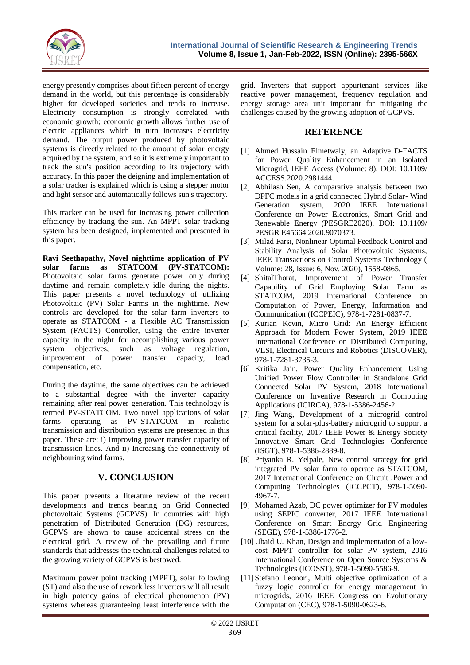

energy presently comprises about fifteen percent of energy demand in the world, but this percentage is considerably higher for developed societies and tends to increase. Electricity consumption is strongly correlated with economic growth; economic growth allows further use of electric appliances which in turn increases electricity demand. The output power produced by photovoltaic systems is directly related to the amount of solar energy acquired by the system, and so it is extremely important to track the sun's position according to its trajectory with accuracy. In this paper the deigning and implementation of a solar tracker is explained which is using a stepper motor and light sensor and automatically follows sun's trajectory.

This tracker can be used for increasing power collection efficiency by tracking the sun. An MPPT solar tracking system has been designed, implemented and presented in this paper.

**Ravi Seethapathy, Novel nighttime application of PV solar farms as STATCOM (PV-STATCOM):** Photovoltaic solar farms generate power only during daytime and remain completely idle during the nights. This paper presents a novel technology of utilizing Photovoltaic (PV) Solar Farms in the nighttime. New controls are developed for the solar farm inverters to operate as STATCOM - a Flexible AC Transmission System (FACTS) Controller, using the entire inverter capacity in the night for accomplishing various power system objectives, such as voltage regulation, improvement of power transfer capacity, load compensation, etc.

During the daytime, the same objectives can be achieved to a substantial degree with the inverter capacity remaining after real power generation. This technology is termed PV-STATCOM. Two novel applications of solar farms operating as PV-STATCOM in realistic transmission and distribution systems are presented in this paper. These are: i) Improving power transfer capacity of transmission lines. And ii) Increasing the connectivity of neighbouring wind farms.

## **V. CONCLUSION**

This paper presents a literature review of the recent developments and trends bearing on Grid Connected photovoltaic Systems (GCPVS). In countries with high penetration of Distributed Generation (DG) resources, GCPVS are shown to cause accidental stress on the electrical grid. A review of the prevailing and future standards that addresses the technical challenges related to the growing variety of GCPVS is bestowed.

Maximum power point tracking (MPPT), solar following (ST) and also the use of rework less inverters will all result in high potency gains of electrical phenomenon (PV) systems whereas guaranteeing least interference with the

grid. Inverters that support appurtenant services like reactive power management, frequency regulation and energy storage area unit important for mitigating the challenges caused by the growing adoption of GCPVS.

### **REFERENCE**

- [1] Ahmed Hussain Elmetwaly, an Adaptive D-FACTS for Power Quality Enhancement in an Isolated Microgrid, IEEE Access (Volume: 8), DOI: 10.1109/ ACCESS.2020.2981444.
- [2] Abhilash Sen, A comparative analysis between two DPFC models in a grid connected Hybrid Solar- Wind Generation system, 2020 IEEE International Conference on Power Electronics, Smart Grid and Renewable Energy (PESGRE2020), DOI: 10.1109/ PESGR E45664.2020.9070373.
- [3] Milad Farsi, Nonlinear Optimal Feedback Control and Stability Analysis of Solar Photovoltaic Systems, IEEE Transactions on Control Systems Technology ( Volume: 28, Issue: 6, Nov. 2020), 1558-0865.
- [4] ShitalThorat, Improvement of Power Transfer Capability of Grid Employing Solar Farm as STATCOM, 2019 International Conference on Computation of Power, Energy, Information and Communication (ICCPEIC), 978-1-7281-0837-7.
- [5] Kurian Kevin, Micro Grid: An Energy Efficient Approach for Modern Power System, 2019 IEEE International Conference on Distributed Computing, VLSI, Electrical Circuits and Robotics (DISCOVER), 978-1-7281-3735-3.
- [6] Kritika Jain, Power Quality Enhancement Using Unified Power Flow Controller in Standalone Grid Connected Solar PV System, 2018 International Conference on Inventive Research in Computing Applications (ICIRCA), 978-1-5386-2456-2.
- [7] Jing Wang, Development of a microgrid control system for a solar-plus-battery microgrid to support a critical facility, 2017 IEEE Power & Energy Society Innovative Smart Grid Technologies Conference (ISGT), 978-1-5386-2889-8.
- [8] Priyanka R. Yelpale, New control strategy for grid integrated PV solar farm to operate as STATCOM, 2017 International Conference on Circuit ,Power and Computing Technologies (ICCPCT), 978-1-5090- 4967-7.
- [9] Mohamed Azab, DC power optimizer for PV modules using SEPIC converter, 2017 IEEE International Conference on Smart Energy Grid Engineering (SEGE), 978-1-5386-1776-2.
- [10] Ubaid U. Khan, Design and implementation of a lowcost MPPT controller for solar PV system, 2016 International Conference on Open Source Systems & Technologies (ICOSST), 978-1-5090-5586-9.
- [11]Stefano Leonori, Multi objective optimization of a fuzzy logic controller for energy management in microgrids, 2016 IEEE Congress on Evolutionary Computation (CEC), 978-1-5090-0623-6.